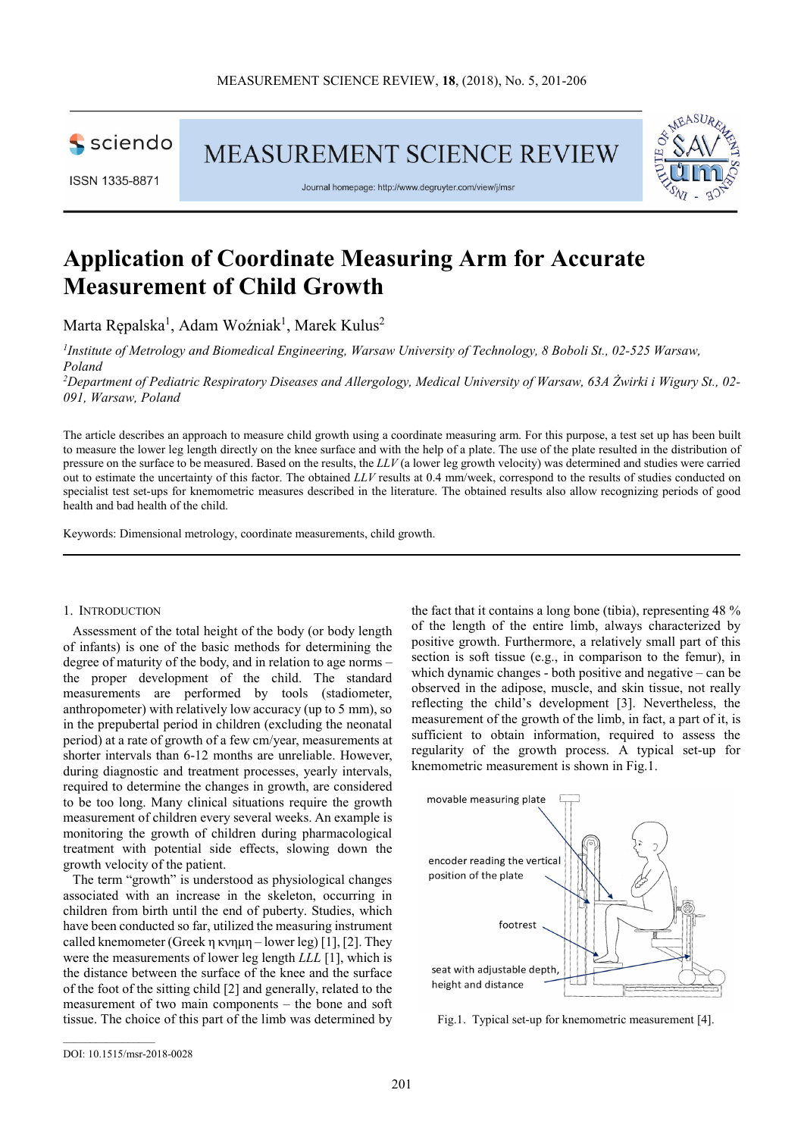

**MEASUREMENT SCIENCE REVIEW** 



Journal homepage: http://www.degruyter.com/view/j/msr

# **Application of Coordinate Measuring Arm for Accurate Measurement of Child Growth**

Marta Rępalska<sup>1</sup>, Adam Woźniak<sup>1</sup>, Marek Kulus<sup>2</sup>

<sup>1</sup> Institute of Metrology and Biomedical Engineering, Warsaw University of Technology, 8 Boboli St., 02-525 Warsaw, *Poland* 

*<sup>2</sup>Department of Pediatric Respiratory Diseases and Allergology, Medical University of Warsaw, 63A Żwirki i Wigury St., 02- 091, Warsaw, Poland* 

The article describes an approach to measure child growth using a coordinate measuring arm. For this purpose, a test set up has been built to measure the lower leg length directly on the knee surface and with the help of a plate. The use of the plate resulted in the distribution of pressure on the surface to be measured. Based on the results, the *LLV* (a lower leg growth velocity) was determined and studies were carried out to estimate the uncertainty of this factor. The obtained *LLV* results at 0.4 mm/week, correspond to the results of studies conducted on specialist test set-ups for knemometric measures described in the literature. The obtained results also allow recognizing periods of good health and bad health of the child.

Keywords: Dimensional metrology, coordinate measurements, child growth.

#### 1. INTRODUCTION

Assessment of the total height of the body (or body length of infants) is one of the basic methods for determining the degree of maturity of the body, and in relation to age norms – the proper development of the child. The standard measurements are performed by tools (stadiometer, anthropometer) with relatively low accuracy (up to 5 mm), so in the prepubertal period in children (excluding the neonatal period) at a rate of growth of a few cm/year, measurements at shorter intervals than 6-12 months are unreliable. However, during diagnostic and treatment processes, yearly intervals, required to determine the changes in growth, are considered to be too long. Many clinical situations require the growth measurement of children every several weeks. An example is monitoring the growth of children during pharmacological treatment with potential side effects, slowing down the growth velocity of the patient.

The term "growth" is understood as physiological changes associated with an increase in the skeleton, occurring in children from birth until the end of puberty. Studies, which have been conducted so far, utilized the measuring instrument called knemometer (Greek η κνημη – lower leg) [1], [2]. They were the measurements of lower leg length *LLL* [1], which is the distance between the surface of the knee and the surface of the foot of the sitting child [2] and generally, related to the measurement of two main components – the bone and soft tissue. The choice of this part of the limb was determined by

the fact that it contains a long bone (tibia), representing 48 % of the length of the entire limb, always characterized by positive growth. Furthermore, a relatively small part of this section is soft tissue (e.g., in comparison to the femur), in which dynamic changes - both positive and negative – can be observed in the adipose, muscle, and skin tissue, not really reflecting the child's development [3]. Nevertheless, the measurement of the growth of the limb, in fact, a part of it, is sufficient to obtain information, required to assess the regularity of the growth process. A typical set-up for knemometric measurement is shown in Fig.1.



Fig.1. Typical set-up for knemometric measurement [4].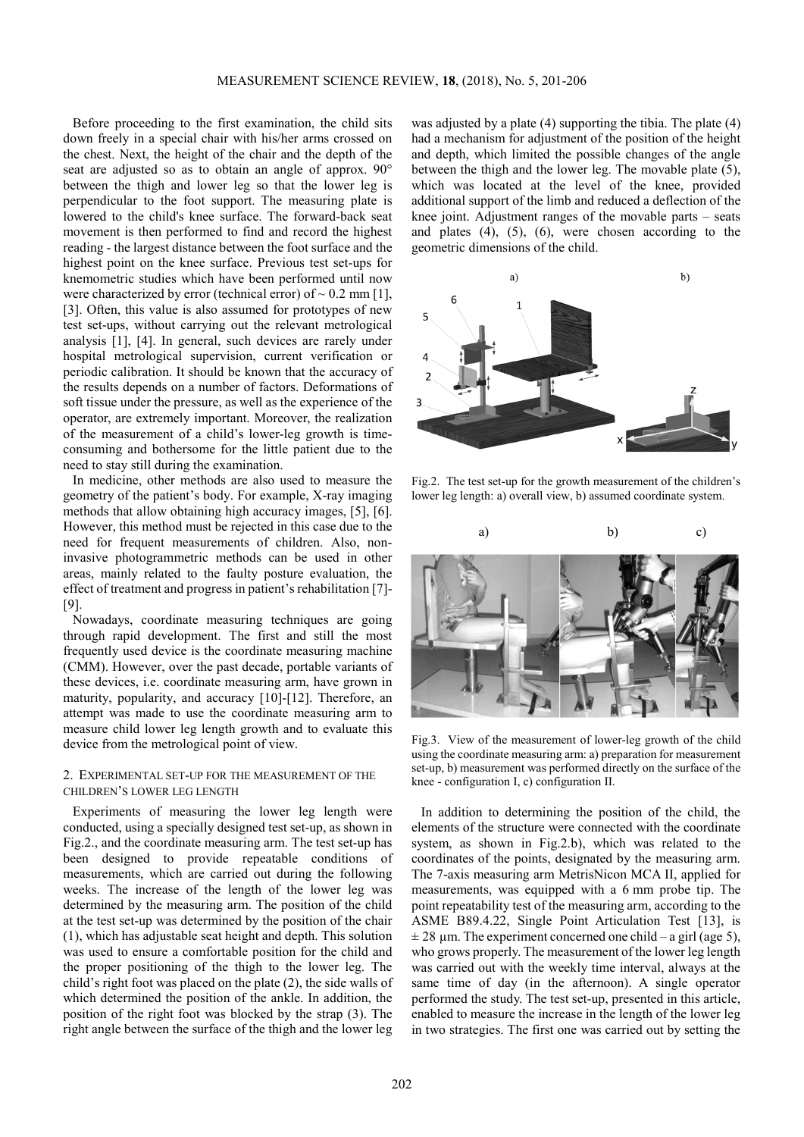Before proceeding to the first examination, the child sits down freely in a special chair with his/her arms crossed on the chest. Next, the height of the chair and the depth of the seat are adjusted so as to obtain an angle of approx. 90° between the thigh and lower leg so that the lower leg is perpendicular to the foot support. The measuring plate is lowered to the child's knee surface. The forward-back seat movement is then performed to find and record the highest reading - the largest distance between the foot surface and the highest point on the knee surface. Previous test set-ups for knemometric studies which have been performed until now were characterized by error (technical error) of  $\sim 0.2$  mm [1], [3]. Often, this value is also assumed for prototypes of new test set-ups, without carrying out the relevant metrological analysis [1], [4]. In general, such devices are rarely under hospital metrological supervision, current verification or periodic calibration. It should be known that the accuracy of the results depends on a number of factors. Deformations of soft tissue under the pressure, as well as the experience of the operator, are extremely important. Moreover, the realization of the measurement of a child's lower-leg growth is timeconsuming and bothersome for the little patient due to the need to stay still during the examination.

In medicine, other methods are also used to measure the geometry of the patient's body. For example, X-ray imaging methods that allow obtaining high accuracy images, [5], [6]. However, this method must be rejected in this case due to the need for frequent measurements of children. Also, noninvasive photogrammetric methods can be used in other areas, mainly related to the faulty posture evaluation, the effect of treatment and progress in patient's rehabilitation [7]- [9].

Nowadays, coordinate measuring techniques are going through rapid development. The first and still the most frequently used device is the coordinate measuring machine (CMM). However, over the past decade, portable variants of these devices, i.e. coordinate measuring arm, have grown in maturity, popularity, and accuracy [10]-[12]. Therefore, an attempt was made to use the coordinate measuring arm to measure child lower leg length growth and to evaluate this device from the metrological point of view.

## 2. EXPERIMENTAL SET-UP FOR THE MEASUREMENT OF THE CHILDREN'S LOWER LEG LENGTH

Experiments of measuring the lower leg length were conducted, using a specially designed test set-up, as shown in Fig.2., and the coordinate measuring arm. The test set-up has been designed to provide repeatable conditions of measurements, which are carried out during the following weeks. The increase of the length of the lower leg was determined by the measuring arm. The position of the child at the test set-up was determined by the position of the chair (1), which has adjustable seat height and depth. This solution was used to ensure a comfortable position for the child and the proper positioning of the thigh to the lower leg. The child's right foot was placed on the plate (2), the side walls of which determined the position of the ankle. In addition, the position of the right foot was blocked by the strap (3). The right angle between the surface of the thigh and the lower leg

was adjusted by a plate (4) supporting the tibia. The plate (4) had a mechanism for adjustment of the position of the height and depth, which limited the possible changes of the angle between the thigh and the lower leg. The movable plate (5), which was located at the level of the knee, provided additional support of the limb and reduced a deflection of the knee joint. Adjustment ranges of the movable parts – seats and plates (4), (5), (6), were chosen according to the geometric dimensions of the child.



Fig.2. The test set-up for the growth measurement of the children's lower leg length: a) overall view, b) assumed coordinate system.



Fig.3. View of the measurement of lower-leg growth of the child using the coordinate measuring arm: a) preparation for measurement set-up, b) measurement was performed directly on the surface of the knee - configuration I, c) configuration II.

In addition to determining the position of the child, the elements of the structure were connected with the coordinate system, as shown in Fig.2.b), which was related to the coordinates of the points, designated by the measuring arm. The 7-axis measuring arm MetrisNicon MCA II, applied for measurements, was equipped with a 6 mm probe tip. The point repeatability test of the measuring arm, according to the ASME B89.4.22, Single Point Articulation Test [13], is  $\pm$  28 µm. The experiment concerned one child – a girl (age 5), who grows properly. The measurement of the lower leg length was carried out with the weekly time interval, always at the same time of day (in the afternoon). A single operator performed the study. The test set-up, presented in this article, enabled to measure the increase in the length of the lower leg in two strategies. The first one was carried out by setting the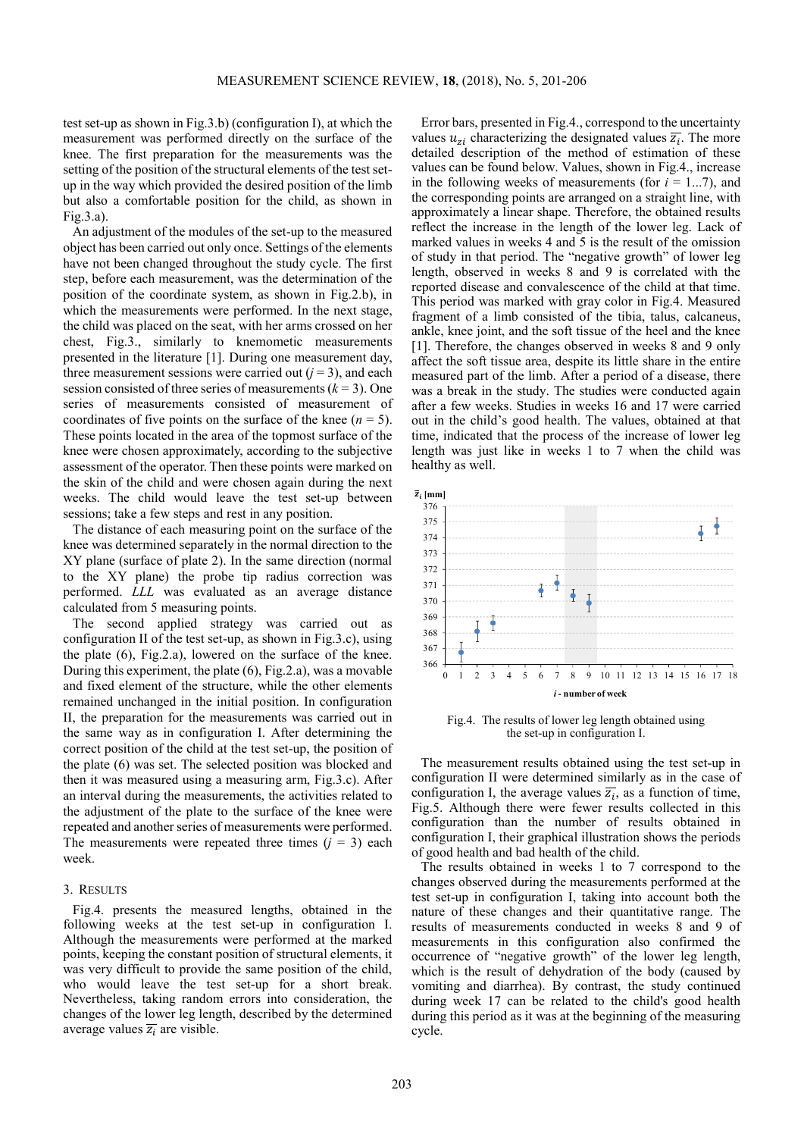test set-up as shown in Fig.3.b) (configuration I), at which the measurement was performed directly on the surface of the knee. The first preparation for the measurements was the setting of the position of the structural elements of the test setup in the way which provided the desired position of the limb but also a comfortable position for the child, as shown in Fig.3.a).

An adjustment of the modules of the set-up to the measured object has been carried out only once. Settings of the elements have not been changed throughout the study cycle. The first step, before each measurement, was the determination of the position of the coordinate system, as shown in Fig.2.b), in which the measurements were performed. In the next stage, the child was placed on the seat, with her arms crossed on her chest, Fig.3., similarly to knemometic measurements presented in the literature [1]. During one measurement day, three measurement sessions were carried out  $(j = 3)$ , and each session consisted of three series of measurements  $(k = 3)$ . One series of measurements consisted of measurement of coordinates of five points on the surface of the knee  $(n = 5)$ . These points located in the area of the topmost surface of the knee were chosen approximately, according to the subjective assessment of the operator. Then these points were marked on the skin of the child and were chosen again during the next weeks. The child would leave the test set-up between sessions; take a few steps and rest in any position.

The distance of each measuring point on the surface of the knee was determined separately in the normal direction to the XY plane (surface of plate 2). In the same direction (normal to the XY plane) the probe tip radius correction was performed. *LLL* was evaluated as an average distance calculated from 5 measuring points.

The second applied strategy was carried out as configuration II of the test set-up, as shown in Fig.3.c), using the plate (6), Fig.2.a), lowered on the surface of the knee. During this experiment, the plate (6), Fig.2.a), was a movable and fixed element of the structure, while the other elements remained unchanged in the initial position. In configuration II, the preparation for the measurements was carried out in the same way as in configuration I. After determining the correct position of the child at the test set-up, the position of the plate (6) was set. The selected position was blocked and then it was measured using a measuring arm, Fig.3.c). After an interval during the measurements, the activities related to the adjustment of the plate to the surface of the knee were repeated and another series of measurements were performed. The measurements were repeated three times  $(j = 3)$  each week.

### 3. RESULTS

Fig.4. presents the measured lengths, obtained in the following weeks at the test set-up in configuration I. Although the measurements were performed at the marked points, keeping the constant position of structural elements, it was very difficult to provide the same position of the child, who would leave the test set-up for a short break. Nevertheless, taking random errors into consideration, the changes of the lower leg length, described by the determined average values  $\overline{z_i}$  are visible.

Error bars, presented in Fig.4., correspond to the uncertainty values  $u_{zi}$  characterizing the designated values  $\overline{z_i}$ . The more detailed description of the method of estimation of these values can be found below. Values, shown in Fig.4., increase in the following weeks of measurements (for  $i = 1...7$ ), and the corresponding points are arranged on a straight line, with approximately a linear shape. Therefore, the obtained results reflect the increase in the length of the lower leg. Lack of marked values in weeks 4 and 5 is the result of the omission of study in that period. The "negative growth" of lower leg length, observed in weeks 8 and 9 is correlated with the reported disease and convalescence of the child at that time. This period was marked with gray color in Fig.4. Measured fragment of a limb consisted of the tibia, talus, calcaneus, ankle, knee joint, and the soft tissue of the heel and the knee [1]. Therefore, the changes observed in weeks 8 and 9 only affect the soft tissue area, despite its little share in the entire measured part of the limb. After a period of a disease, there was a break in the study. The studies were conducted again after a few weeks. Studies in weeks 16 and 17 were carried out in the child's good health. The values, obtained at that time, indicated that the process of the increase of lower leg length was just like in weeks 1 to 7 when the child was healthy as well.



Fig.4. The results of lower leg length obtained using the set-up in configuration I.

The measurement results obtained using the test set-up in configuration II were determined similarly as in the case of configuration I, the average values  $\overline{z_i}$ , as a function of time, Fig.5. Although there were fewer results collected in this configuration than the number of results obtained in configuration I, their graphical illustration shows the periods of good health and bad health of the child.

The results obtained in weeks 1 to 7 correspond to the changes observed during the measurements performed at the test set-up in configuration I, taking into account both the nature of these changes and their quantitative range. The results of measurements conducted in weeks 8 and 9 of measurements in this configuration also confirmed the occurrence of "negative growth" of the lower leg length, which is the result of dehydration of the body (caused by vomiting and diarrhea). By contrast, the study continued during week 17 can be related to the child's good health during this period as it was at the beginning of the measuring cycle.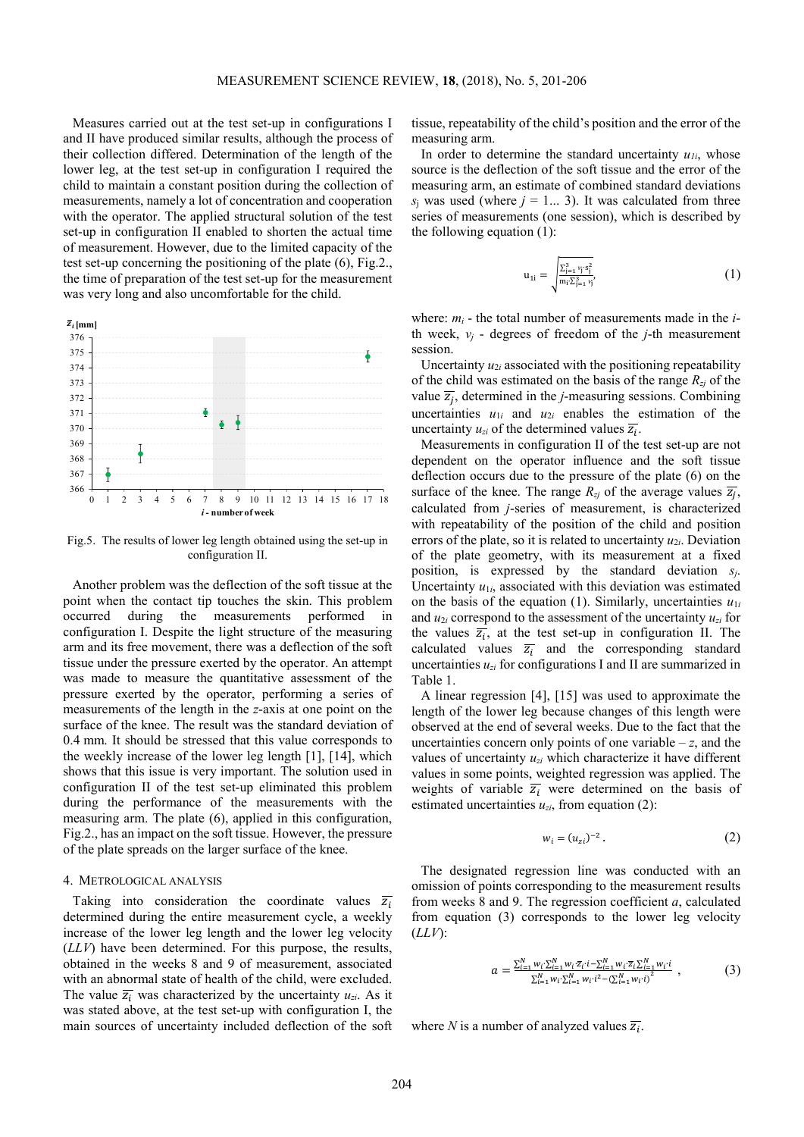Measures carried out at the test set-up in configurations I and II have produced similar results, although the process of their collection differed. Determination of the length of the lower leg, at the test set-up in configuration I required the child to maintain a constant position during the collection of measurements, namely a lot of concentration and cooperation with the operator. The applied structural solution of the test set-up in configuration II enabled to shorten the actual time of measurement. However, due to the limited capacity of the test set-up concerning the positioning of the plate (6), Fig.2., the time of preparation of the test set-up for the measurement was very long and also uncomfortable for the child.



Fig.5. The results of lower leg length obtained using the set-up in configuration II.

Another problem was the deflection of the soft tissue at the point when the contact tip touches the skin. This problem occurred during the measurements performed in configuration I. Despite the light structure of the measuring arm and its free movement, there was a deflection of the soft tissue under the pressure exerted by the operator. An attempt was made to measure the quantitative assessment of the pressure exerted by the operator, performing a series of measurements of the length in the *z*-axis at one point on the surface of the knee. The result was the standard deviation of 0.4 mm. It should be stressed that this value corresponds to the weekly increase of the lower leg length [1], [14], which shows that this issue is very important. The solution used in configuration II of the test set-up eliminated this problem during the performance of the measurements with the measuring arm. The plate (6), applied in this configuration, Fig.2., has an impact on the soft tissue. However, the pressure of the plate spreads on the larger surface of the knee.

## 4. METROLOGICAL ANALYSIS

Taking into consideration the coordinate values  $\overline{z_i}$ determined during the entire measurement cycle, a weekly increase of the lower leg length and the lower leg velocity (*LLV*) have been determined. For this purpose, the results, obtained in the weeks 8 and 9 of measurement, associated with an abnormal state of health of the child, were excluded. The value  $\overline{z_i}$  was characterized by the uncertainty  $u_{zi}$ . As it was stated above, at the test set-up with configuration I, the main sources of uncertainty included deflection of the soft

tissue, repeatability of the child's position and the error of the measuring arm.

In order to determine the standard uncertainty  $u_{1i}$ , whose source is the deflection of the soft tissue and the error of the measuring arm, an estimate of combined standard deviations  $s_i$  was used (where  $j = 1...3$ ). It was calculated from three series of measurements (one session), which is described by the following equation (1):

$$
u_{1i} = \sqrt{\frac{\sum_{j=1}^{3} \nu_j s_j^2}{m_i \sum_{j=1}^{3} \nu_j}},
$$
 (1)

where: *mi* - the total number of measurements made in the *i*th week,  $v_i$  - degrees of freedom of the *j*-th measurement session.

Uncertainty  $u_{2i}$  associated with the positioning repeatability of the child was estimated on the basis of the range *Rzj* of the value  $\overline{z_j}$ , determined in the *j*-measuring sessions. Combining uncertainties  $u_{1i}$  and  $u_{2i}$  enables the estimation of the uncertainty  $u_{zi}$  of the determined values  $\overline{z_i}$ .

Measurements in configuration II of the test set-up are not dependent on the operator influence and the soft tissue deflection occurs due to the pressure of the plate (6) on the surface of the knee. The range  $R_{zj}$  of the average values  $\overline{z_j}$ , calculated from *j*-series of measurement, is characterized with repeatability of the position of the child and position errors of the plate, so it is related to uncertainty  $u_{2i}$ . Deviation of the plate geometry, with its measurement at a fixed position, is expressed by the standard deviation *sj*. Uncertainty  $u_{1i}$ , associated with this deviation was estimated on the basis of the equation (1). Similarly, uncertainties  $u_{1i}$ and  $u_{2i}$  correspond to the assessment of the uncertainty  $u_{zi}$  for the values  $\overline{z_i}$ , at the test set-up in configuration II. The calculated values  $\overline{z_i}$  and the corresponding standard uncertainties *uzi* for configurations I and II are summarized in Table 1.

A linear regression [4], [15] was used to approximate the length of the lower leg because changes of this length were observed at the end of several weeks. Due to the fact that the uncertainties concern only points of one variable  $-z$ , and the values of uncertainty *uzi* which characterize it have different values in some points, weighted regression was applied. The weights of variable  $\overline{z_i}$  were determined on the basis of estimated uncertainties  $u_{zi}$ , from equation (2):

$$
w_i = (u_{zi})^{-2} . \t\t(2)
$$

The designated regression line was conducted with an omission of points corresponding to the measurement results from weeks 8 and 9. The regression coefficient *a*, calculated from equation (3) corresponds to the lower leg velocity (*LLV*):

$$
a = \frac{\sum_{i=1}^{N} w_i \cdot \sum_{i=1}^{N} w_i \cdot \sum_{i=1}^{N} w_i \cdot \sum_{i=1}^{N} w_i \cdot \sum_{i=1}^{N} w_i \cdot i}{\sum_{i=1}^{N} w_i \cdot \sum_{i=1}^{N} w_i \cdot i^2 - (\sum_{i=1}^{N} w_i \cdot i)^2},
$$
(3)

where *N* is a number of analyzed values  $\overline{z_i}$ .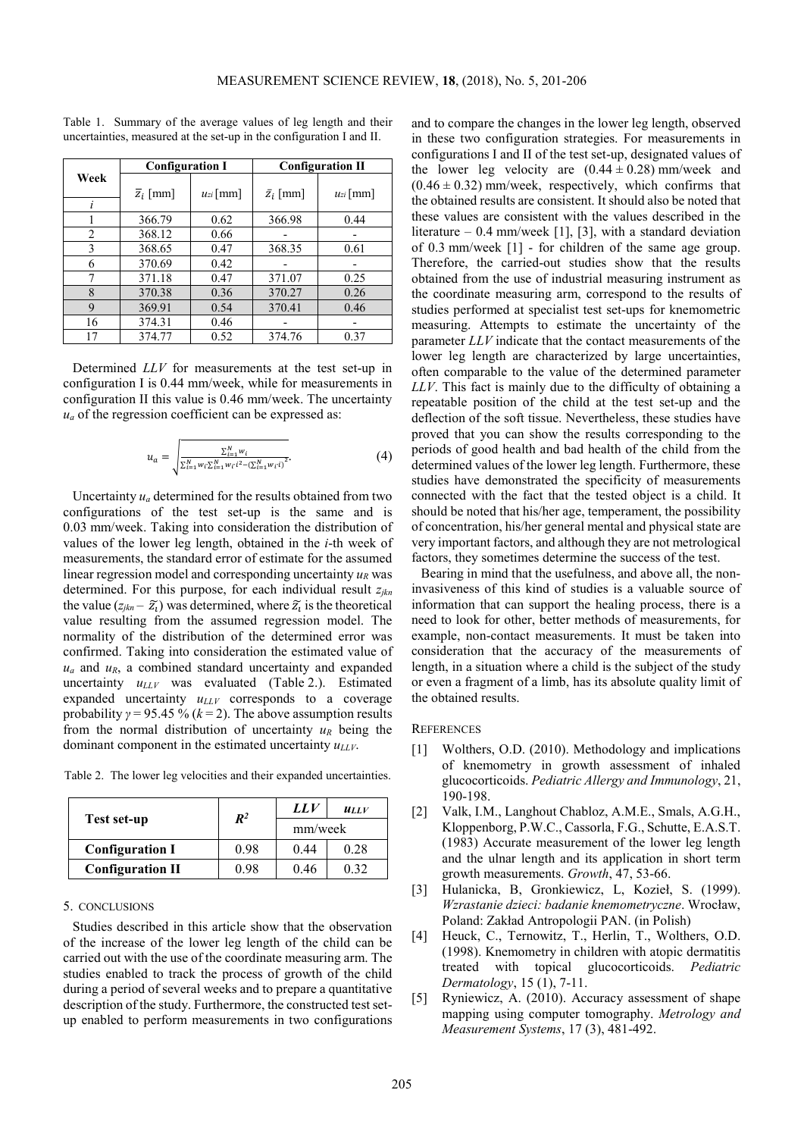| Week           | <b>Configuration I</b> |               | <b>Configuration II</b> |               |
|----------------|------------------------|---------------|-------------------------|---------------|
|                | $\overline{z}_i$ [mm]  | $u_{zi}$ [mm] | $\bar{z_i}$ [mm]        | $u_{zi}$ [mm] |
|                |                        |               |                         |               |
|                | 366.79                 | 0.62          | 366.98                  | 0.44          |
| $\overline{c}$ | 368.12                 | 0.66          |                         |               |
| 3              | 368.65                 | 0.47          | 368.35                  | 0.61          |
| 6              | 370.69                 | 0.42          |                         |               |
| 7              | 371.18                 | 0.47          | 371.07                  | 0.25          |
| 8              | 370.38                 | 0.36          | 370.27                  | 0.26          |
| $\mathbf Q$    | 369.91                 | 0.54          | 370.41                  | 0.46          |
| 16             | 374.31                 | 0.46          |                         |               |
| 17             | 374.77                 | 0.52          | 374.76                  | 0.37          |

Table 1. Summary of the average values of leg length and their uncertainties, measured at the set-up in the configuration I and II.

Determined *LLV* for measurements at the test set-up in configuration I is 0.44 mm/week, while for measurements in configuration II this value is 0.46 mm/week. The uncertainty  $u_a$  of the regression coefficient can be expressed as:

$$
u_a = \sqrt{\frac{\sum_{i=1}^{N} w_i}{\sum_{i=1}^{N} w_i \sum_{i=1}^{N} w_i \cdot i^2 - (\sum_{i=1}^{N} w_i \cdot i)^2}}.
$$
(4)

Uncertainty  $u_a$  determined for the results obtained from two configurations of the test set-up is the same and is 0.03 mm/week. Taking into consideration the distribution of values of the lower leg length, obtained in the *i*-th week of measurements, the standard error of estimate for the assumed linear regression model and corresponding uncertainty *uR* was determined. For this purpose, for each individual result *zjkn* the value  $(z_{jkn} - \tilde{z}_i)$  was determined, where  $\tilde{z}_i$  is the theoretical value resulting from the assumed regression model. The normality of the distribution of the determined error was confirmed. Taking into consideration the estimated value of  $u_a$  and  $u_R$ , a combined standard uncertainty and expanded uncertainty  $u_{LLV}$  was evaluated (Table 2.). Estimated expanded uncertainty  $u_{LLV}$  corresponds to a coverage probability  $\gamma$  = 95.45 % ( $k$  = 2). The above assumption results from the normal distribution of uncertainty  $u_R$  being the dominant component in the estimated uncertainty *uLLV*.

Table 2. The lower leg velocities and their expanded uncertainties.

|                         | $\mathbb{R}^2$ | LLV     | ULLV |
|-------------------------|----------------|---------|------|
| Test set-up             |                | mm/week |      |
| <b>Configuration I</b>  | 0.98           | 0.44    | 0.28 |
| <b>Configuration II</b> | 0.98           | 046     | በ 32 |

## 5. CONCLUSIONS

Studies described in this article show that the observation of the increase of the lower leg length of the child can be carried out with the use of the coordinate measuring arm. The studies enabled to track the process of growth of the child during a period of several weeks and to prepare a quantitative description of the study. Furthermore, the constructed test setup enabled to perform measurements in two configurations and to compare the changes in the lower leg length, observed in these two configuration strategies. For measurements in configurations I and II of the test set-up, designated values of the lower leg velocity are  $(0.44 \pm 0.28)$  mm/week and  $(0.46 \pm 0.32)$  mm/week, respectively, which confirms that the obtained results are consistent. It should also be noted that these values are consistent with the values described in the literature –  $0.4$  mm/week [1], [3], with a standard deviation of 0.3 mm/week [1] - for children of the same age group. Therefore, the carried-out studies show that the results obtained from the use of industrial measuring instrument as the coordinate measuring arm, correspond to the results of studies performed at specialist test set-ups for knemometric measuring. Attempts to estimate the uncertainty of the parameter *LLV* indicate that the contact measurements of the lower leg length are characterized by large uncertainties, often comparable to the value of the determined parameter *LLV*. This fact is mainly due to the difficulty of obtaining a repeatable position of the child at the test set-up and the deflection of the soft tissue. Nevertheless, these studies have proved that you can show the results corresponding to the periods of good health and bad health of the child from the determined values of the lower leg length. Furthermore, these studies have demonstrated the specificity of measurements connected with the fact that the tested object is a child. It should be noted that his/her age, temperament, the possibility of concentration, his/her general mental and physical state are very important factors, and although they are not metrological factors, they sometimes determine the success of the test.

Bearing in mind that the usefulness, and above all, the noninvasiveness of this kind of studies is a valuable source of information that can support the healing process, there is a need to look for other, better methods of measurements, for example, non-contact measurements. It must be taken into consideration that the accuracy of the measurements of length, in a situation where a child is the subject of the study or even a fragment of a limb, has its absolute quality limit of the obtained results.

### **REFERENCES**

- [1] Wolthers, O.D. (2010). Methodology and implications of knemometry in growth assessment of inhaled glucocorticoids. *Pediatric Allergy and Immunology*, 21, 190-198.
- [2] Valk, I.M., Langhout Chabloz, A.M.E., Smals, A.G.H., Kloppenborg, P.W.C., Cassorla, F.G., Schutte, E.A.S.T. (1983) Accurate measurement of the lower leg length and the ulnar length and its application in short term growth measurements. *Growth*, 47, 53-66.
- [3] Hulanicka, B, Gronkiewicz, L, Kozieł, S. (1999). *Wzrastanie dzieci: badanie knemometryczne*. Wrocław, Poland: Zakład Antropologii PAN. (in Polish)
- [4] Heuck, C., Ternowitz, T., Herlin, T., Wolthers, O.D. (1998). Knemometry in children with atopic dermatitis treated with topical glucocorticoids. *Pediatric Dermatology*, 15 (1), 7-11.
- [5] Ryniewicz, A. (2010). Accuracy assessment of shape mapping using computer tomography. *Metrology and Measurement Systems*, 17 (3), 481-492.